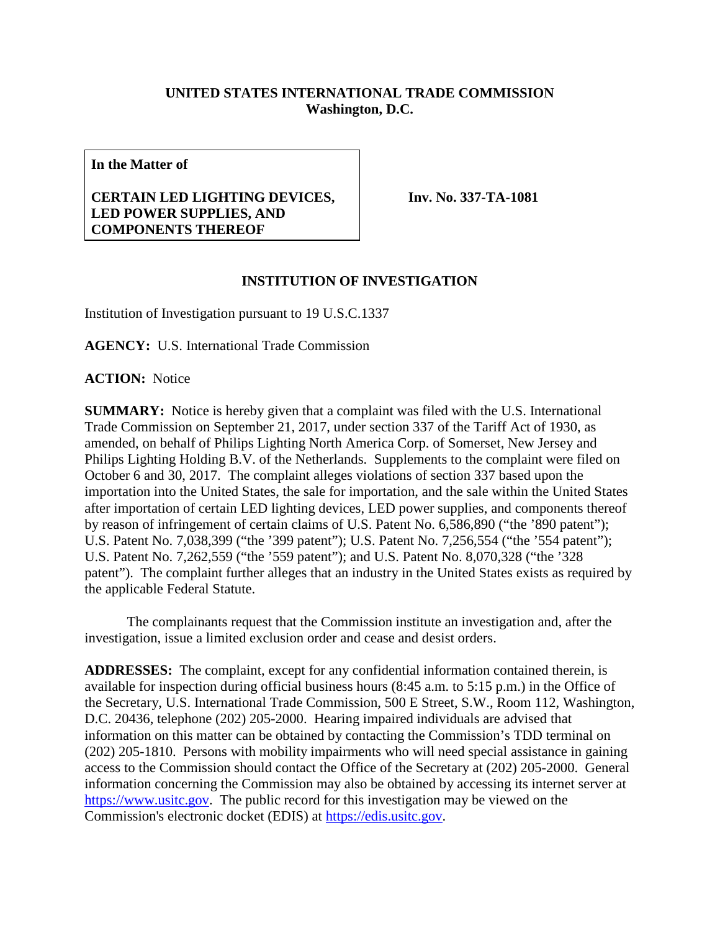## **UNITED STATES INTERNATIONAL TRADE COMMISSION Washington, D.C.**

**In the Matter of**

## **CERTAIN LED LIGHTING DEVICES, LED POWER SUPPLIES, AND COMPONENTS THEREOF**

**Inv. No. 337-TA-1081**

## **INSTITUTION OF INVESTIGATION**

Institution of Investigation pursuant to 19 U.S.C.1337

**AGENCY:** U.S. International Trade Commission

**ACTION:** Notice

**SUMMARY:** Notice is hereby given that a complaint was filed with the U.S. International Trade Commission on September 21, 2017, under section 337 of the Tariff Act of 1930, as amended, on behalf of Philips Lighting North America Corp. of Somerset, New Jersey and Philips Lighting Holding B.V. of the Netherlands. Supplements to the complaint were filed on October 6 and 30, 2017. The complaint alleges violations of section 337 based upon the importation into the United States, the sale for importation, and the sale within the United States after importation of certain LED lighting devices, LED power supplies, and components thereof by reason of infringement of certain claims of U.S. Patent No. 6,586,890 ("the '890 patent"); U.S. Patent No. 7,038,399 ("the '399 patent"); U.S. Patent No. 7,256,554 ("the '554 patent"); U.S. Patent No. 7,262,559 ("the '559 patent"); and U.S. Patent No. 8,070,328 ("the '328 patent"). The complaint further alleges that an industry in the United States exists as required by the applicable Federal Statute.

The complainants request that the Commission institute an investigation and, after the investigation, issue a limited exclusion order and cease and desist orders.

**ADDRESSES:** The complaint, except for any confidential information contained therein, is available for inspection during official business hours (8:45 a.m. to 5:15 p.m.) in the Office of the Secretary, U.S. International Trade Commission, 500 E Street, S.W., Room 112, Washington, D.C. 20436, telephone (202) 205-2000. Hearing impaired individuals are advised that information on this matter can be obtained by contacting the Commission's TDD terminal on (202) 205-1810. Persons with mobility impairments who will need special assistance in gaining access to the Commission should contact the Office of the Secretary at (202) 205-2000. General information concerning the Commission may also be obtained by accessing its internet server at [https://www.usitc.gov.](https://www.usitc.gov/) The public record for this investigation may be viewed on the Commission's electronic docket (EDIS) at [https://edis.usitc.gov.](https://edis.usitc.gov/)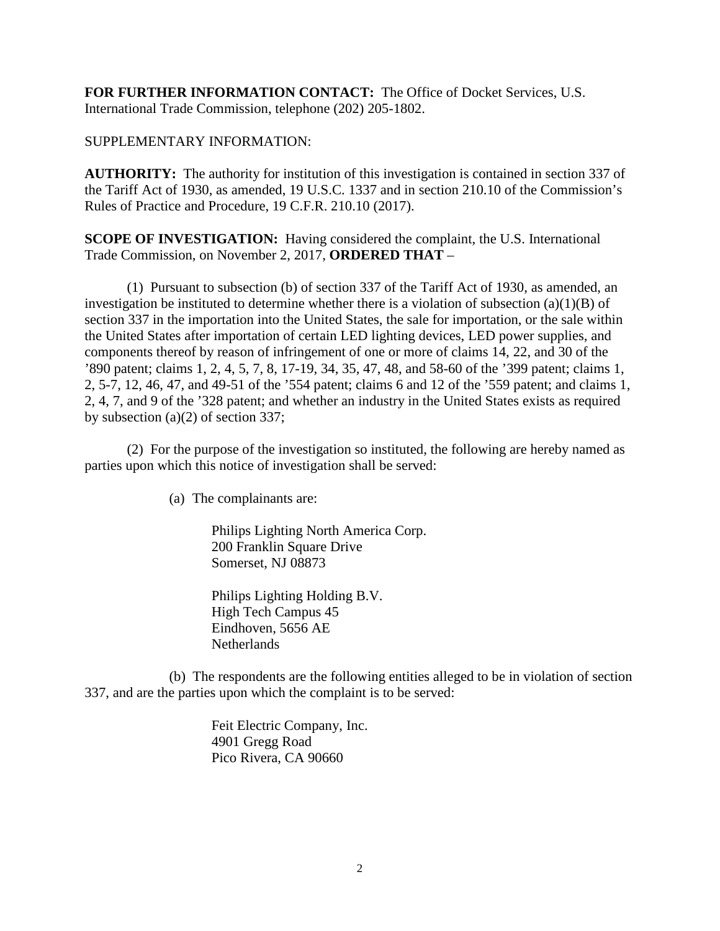**FOR FURTHER INFORMATION CONTACT:** The Office of Docket Services, U.S. International Trade Commission, telephone (202) 205-1802.

## SUPPLEMENTARY INFORMATION:

**AUTHORITY:** The authority for institution of this investigation is contained in section 337 of the Tariff Act of 1930, as amended, 19 U.S.C. 1337 and in section 210.10 of the Commission's Rules of Practice and Procedure, 19 C.F.R. 210.10 (2017).

**SCOPE OF INVESTIGATION:** Having considered the complaint, the U.S. International Trade Commission, on November 2, 2017, **ORDERED THAT** –

(1) Pursuant to subsection (b) of section 337 of the Tariff Act of 1930, as amended, an investigation be instituted to determine whether there is a violation of subsection  $(a)(1)(B)$  of section 337 in the importation into the United States, the sale for importation, or the sale within the United States after importation of certain LED lighting devices, LED power supplies, and components thereof by reason of infringement of one or more of claims 14, 22, and 30 of the '890 patent; claims 1, 2, 4, 5, 7, 8, 17-19, 34, 35, 47, 48, and 58-60 of the '399 patent; claims 1, 2, 5-7, 12, 46, 47, and 49-51 of the '554 patent; claims 6 and 12 of the '559 patent; and claims 1, 2, 4, 7, and 9 of the '328 patent; and whether an industry in the United States exists as required by subsection (a)(2) of section 337;

(2) For the purpose of the investigation so instituted, the following are hereby named as parties upon which this notice of investigation shall be served:

(a) The complainants are:

Philips Lighting North America Corp. 200 Franklin Square Drive Somerset, NJ 08873

Philips Lighting Holding B.V. High Tech Campus 45 Eindhoven, 5656 AE **Netherlands** 

(b) The respondents are the following entities alleged to be in violation of section 337, and are the parties upon which the complaint is to be served:

> Feit Electric Company, Inc. 4901 Gregg Road Pico Rivera, CA 90660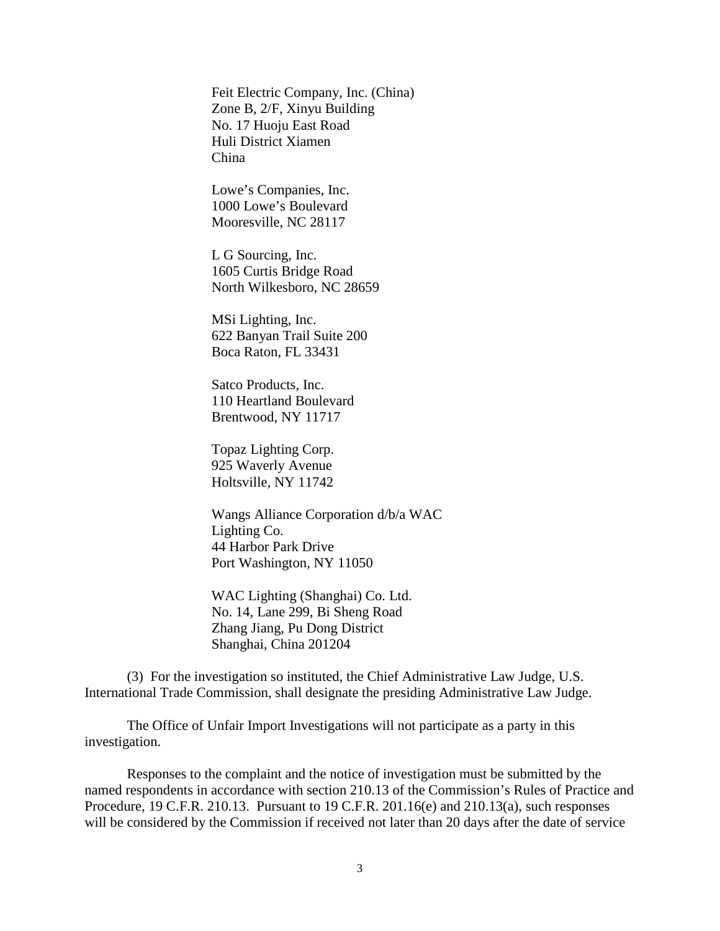Feit Electric Company, Inc. (China) Zone B, 2/F, Xinyu Building No. 17 Huoju East Road Huli District Xiamen China

Lowe's Companies, Inc. 1000 Lowe's Boulevard Mooresville, NC 28117

L G Sourcing, Inc. 1605 Curtis Bridge Road North Wilkesboro, NC 28659

MSi Lighting, Inc. 622 Banyan Trail Suite 200 Boca Raton, FL 33431

Satco Products, Inc. 110 Heartland Boulevard Brentwood, NY 11717

Topaz Lighting Corp. 925 Waverly Avenue Holtsville, NY 11742

Wangs Alliance Corporation d/b/a WAC Lighting Co. 44 Harbor Park Drive Port Washington, NY 11050

WAC Lighting (Shanghai) Co. Ltd. No. 14, Lane 299, Bi Sheng Road Zhang Jiang, Pu Dong District Shanghai, China 201204

(3) For the investigation so instituted, the Chief Administrative Law Judge, U.S. International Trade Commission, shall designate the presiding Administrative Law Judge.

The Office of Unfair Import Investigations will not participate as a party in this investigation.

Responses to the complaint and the notice of investigation must be submitted by the named respondents in accordance with section 210.13 of the Commission's Rules of Practice and Procedure, 19 C.F.R. 210.13. Pursuant to 19 C.F.R. 201.16(e) and 210.13(a), such responses will be considered by the Commission if received not later than 20 days after the date of service